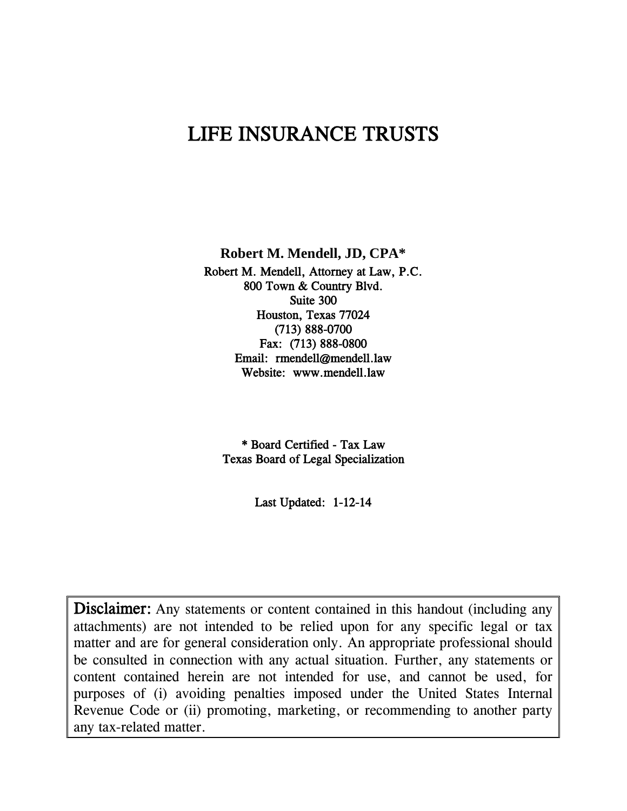# LIFE INSURANCE TRUSTS

**Robert M. Mendell, JD, CPA\***

Robert M. Mendell, Attorney at Law, P.C. 800 Town & Country Blvd. Suite 300 Houston, Texas 77024 (713) 888-0700 Fax: (713) 888-0800 Email: rmendell@mendell.law Website: www.mendell.law

\* Board Certified - Tax Law Texas Board of Legal Specialization

Last Updated: 1-12-14

Disclaimer: Any statements or content contained in this handout (including any attachments) are not intended to be relied upon for any specific legal or tax matter and are for general consideration only. An appropriate professional should be consulted in connection with any actual situation. Further, any statements or content contained herein are not intended for use, and cannot be used, for purposes of (i) avoiding penalties imposed under the United States Internal Revenue Code or (ii) promoting, marketing, or recommending to another party any tax-related matter.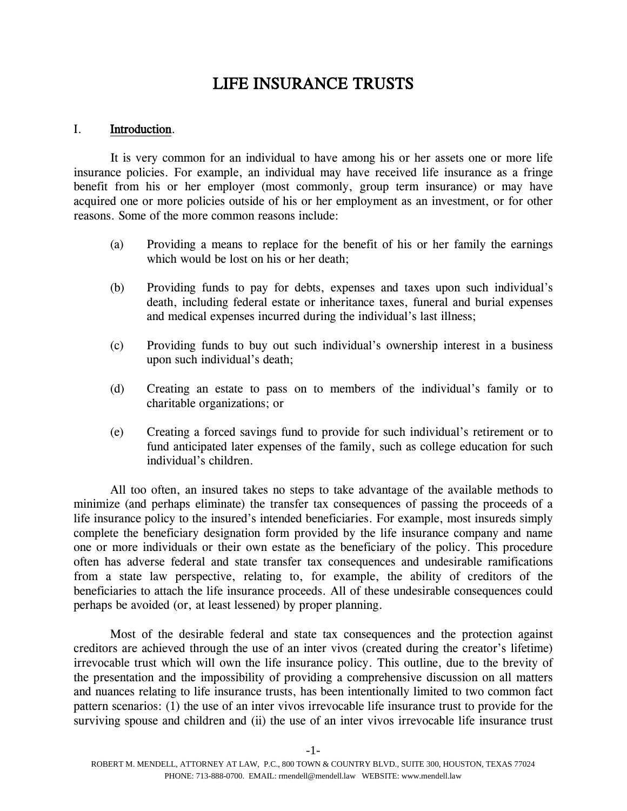# LIFE INSURANCE TRUSTS

#### I. Introduction.

It is very common for an individual to have among his or her assets one or more life insurance policies. For example, an individual may have received life insurance as a fringe benefit from his or her employer (most commonly, group term insurance) or may have acquired one or more policies outside of his or her employment as an investment, or for other reasons. Some of the more common reasons include:

- (a) Providing a means to replace for the benefit of his or her family the earnings which would be lost on his or her death;
- (b) Providing funds to pay for debts, expenses and taxes upon such individual's death, including federal estate or inheritance taxes, funeral and burial expenses and medical expenses incurred during the individual's last illness;
- (c) Providing funds to buy out such individual's ownership interest in a business upon such individual's death;
- (d) Creating an estate to pass on to members of the individual's family or to charitable organizations; or
- (e) Creating a forced savings fund to provide for such individual's retirement or to fund anticipated later expenses of the family, such as college education for such individual's children.

All too often, an insured takes no steps to take advantage of the available methods to minimize (and perhaps eliminate) the transfer tax consequences of passing the proceeds of a life insurance policy to the insured's intended beneficiaries. For example, most insureds simply complete the beneficiary designation form provided by the life insurance company and name one or more individuals or their own estate as the beneficiary of the policy. This procedure often has adverse federal and state transfer tax consequences and undesirable ramifications from a state law perspective, relating to, for example, the ability of creditors of the beneficiaries to attach the life insurance proceeds. All of these undesirable consequences could perhaps be avoided (or, at least lessened) by proper planning.

Most of the desirable federal and state tax consequences and the protection against creditors are achieved through the use of an inter vivos (created during the creator's lifetime) irrevocable trust which will own the life insurance policy. This outline, due to the brevity of the presentation and the impossibility of providing a comprehensive discussion on all matters and nuances relating to life insurance trusts, has been intentionally limited to two common fact pattern scenarios: (1) the use of an inter vivos irrevocable life insurance trust to provide for the surviving spouse and children and (ii) the use of an inter vivos irrevocable life insurance trust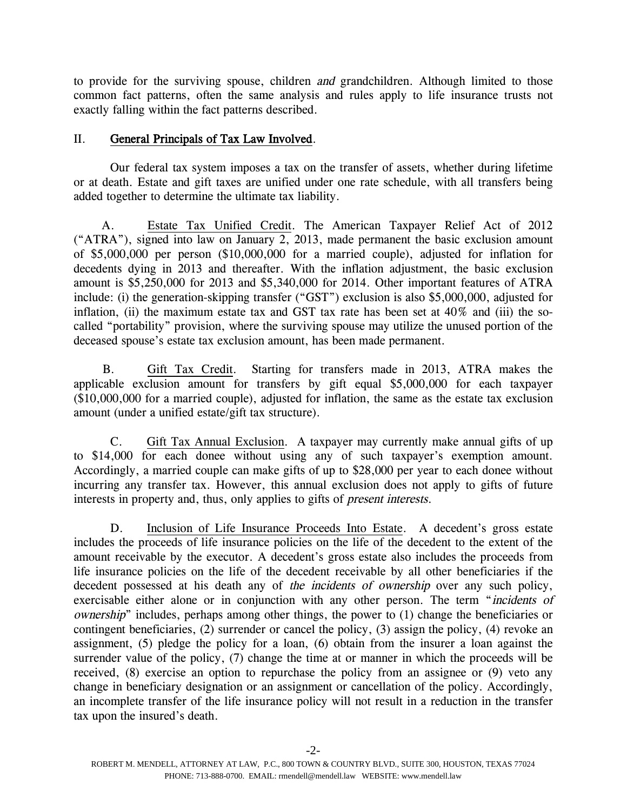to provide for the surviving spouse, children and grandchildren. Although limited to those common fact patterns, often the same analysis and rules apply to life insurance trusts not exactly falling within the fact patterns described.

# II. General Principals of Tax Law Involved.

Our federal tax system imposes a tax on the transfer of assets, whether during lifetime or at death. Estate and gift taxes are unified under one rate schedule, with all transfers being added together to determine the ultimate tax liability.

A. Estate Tax Unified Credit. The American Taxpayer Relief Act of 2012 ("ATRA"), signed into law on January 2, 2013, made permanent the basic exclusion amount of \$5,000,000 per person (\$10,000,000 for a married couple), adjusted for inflation for decedents dying in 2013 and thereafter. With the inflation adjustment, the basic exclusion amount is \$5,250,000 for 2013 and \$5,340,000 for 2014. Other important features of ATRA include: (i) the generation-skipping transfer ("GST") exclusion is also \$5,000,000, adjusted for inflation, (ii) the maximum estate tax and GST tax rate has been set at  $40\%$  and (iii) the socalled "portability" provision, where the surviving spouse may utilize the unused portion of the deceased spouse's estate tax exclusion amount, has been made permanent.

B. Gift Tax Credit. Starting for transfers made in 2013, ATRA makes the applicable exclusion amount for transfers by gift equal \$5,000,000 for each taxpayer (\$10,000,000 for a married couple), adjusted for inflation, the same as the estate tax exclusion amount (under a unified estate/gift tax structure).

C. Gift Tax Annual Exclusion. A taxpayer may currently make annual gifts of up to \$14,000 for each donee without using any of such taxpayer's exemption amount. Accordingly, a married couple can make gifts of up to \$28,000 per year to each donee without incurring any transfer tax. However, this annual exclusion does not apply to gifts of future interests in property and, thus, only applies to gifts of present interests.

D. Inclusion of Life Insurance Proceeds Into Estate. A decedent's gross estate includes the proceeds of life insurance policies on the life of the decedent to the extent of the amount receivable by the executor. A decedent's gross estate also includes the proceeds from life insurance policies on the life of the decedent receivable by all other beneficiaries if the decedent possessed at his death any of the incidents of ownership over any such policy, exercisable either alone or in conjunction with any other person. The term "incidents of ownership" includes, perhaps among other things, the power to (1) change the beneficiaries or contingent beneficiaries, (2) surrender or cancel the policy, (3) assign the policy, (4) revoke an assignment, (5) pledge the policy for a loan, (6) obtain from the insurer a loan against the surrender value of the policy, (7) change the time at or manner in which the proceeds will be received, (8) exercise an option to repurchase the policy from an assignee or (9) veto any change in beneficiary designation or an assignment or cancellation of the policy. Accordingly, an incomplete transfer of the life insurance policy will not result in a reduction in the transfer tax upon the insured's death.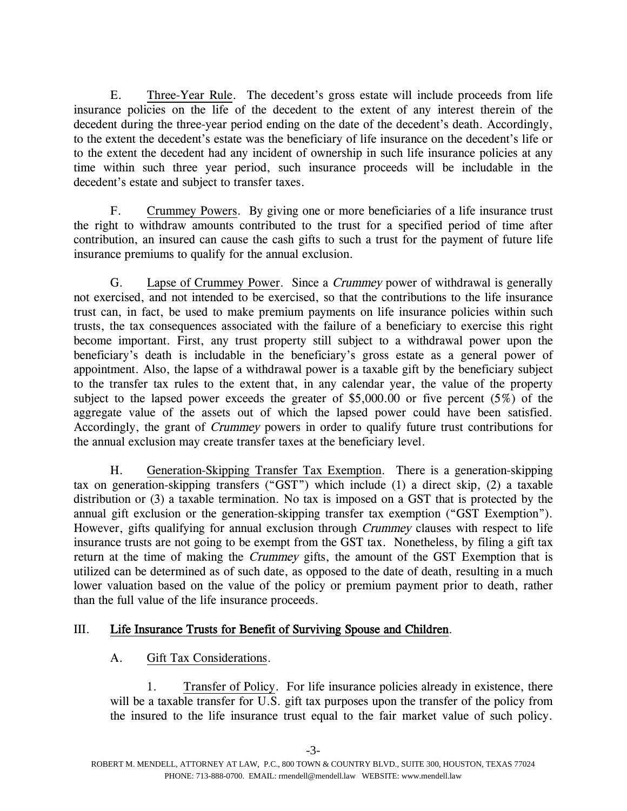E. Three-Year Rule. The decedent's gross estate will include proceeds from life insurance policies on the life of the decedent to the extent of any interest therein of the decedent during the three-year period ending on the date of the decedent's death. Accordingly, to the extent the decedent's estate was the beneficiary of life insurance on the decedent's life or to the extent the decedent had any incident of ownership in such life insurance policies at any time within such three year period, such insurance proceeds will be includable in the decedent's estate and subject to transfer taxes.

F. Crummey Powers. By giving one or more beneficiaries of a life insurance trust the right to withdraw amounts contributed to the trust for a specified period of time after contribution, an insured can cause the cash gifts to such a trust for the payment of future life insurance premiums to qualify for the annual exclusion.

G. Lapse of Crummey Power. Since a Crummey power of withdrawal is generally not exercised, and not intended to be exercised, so that the contributions to the life insurance trust can, in fact, be used to make premium payments on life insurance policies within such trusts, the tax consequences associated with the failure of a beneficiary to exercise this right become important. First, any trust property still subject to a withdrawal power upon the beneficiary's death is includable in the beneficiary's gross estate as a general power of appointment. Also, the lapse of a withdrawal power is a taxable gift by the beneficiary subject to the transfer tax rules to the extent that, in any calendar year, the value of the property subject to the lapsed power exceeds the greater of \$5,000.00 or five percent (5%) of the aggregate value of the assets out of which the lapsed power could have been satisfied. Accordingly, the grant of Crummey powers in order to qualify future trust contributions for the annual exclusion may create transfer taxes at the beneficiary level.

H. Generation-Skipping Transfer Tax Exemption. There is a generation-skipping tax on generation-skipping transfers ("GST") which include (1) a direct skip, (2) a taxable distribution or (3) a taxable termination. No tax is imposed on a GST that is protected by the annual gift exclusion or the generation-skipping transfer tax exemption ("GST Exemption"). However, gifts qualifying for annual exclusion through *Crummey* clauses with respect to life insurance trusts are not going to be exempt from the GST tax. Nonetheless, by filing a gift tax return at the time of making the Crummey gifts, the amount of the GST Exemption that is utilized can be determined as of such date, as opposed to the date of death, resulting in a much lower valuation based on the value of the policy or premium payment prior to death, rather than the full value of the life insurance proceeds.

# III. Life Insurance Trusts for Benefit of Surviving Spouse and Children.

# A. Gift Tax Considerations.

1. Transfer of Policy. For life insurance policies already in existence, there will be a taxable transfer for U.S. gift tax purposes upon the transfer of the policy from the insured to the life insurance trust equal to the fair market value of such policy.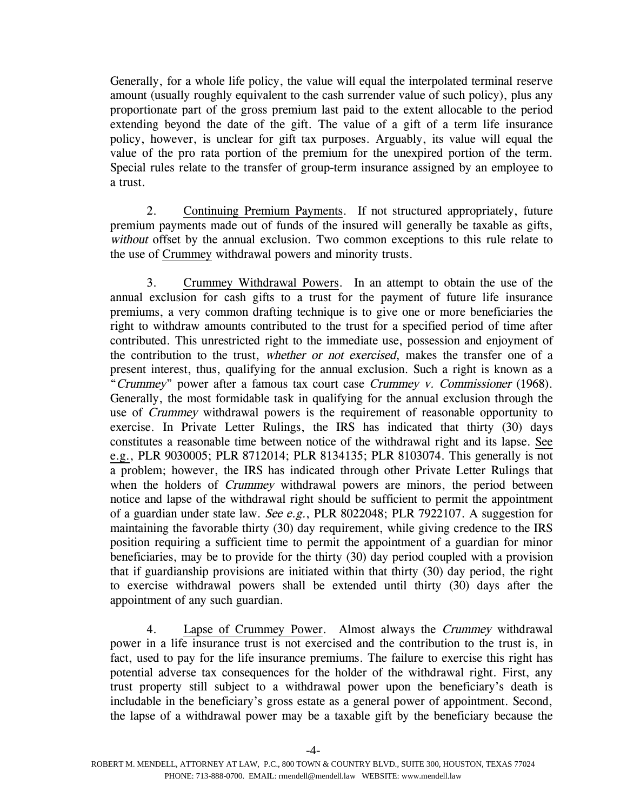Generally, for a whole life policy, the value will equal the interpolated terminal reserve amount (usually roughly equivalent to the cash surrender value of such policy), plus any proportionate part of the gross premium last paid to the extent allocable to the period extending beyond the date of the gift. The value of a gift of a term life insurance policy, however, is unclear for gift tax purposes. Arguably, its value will equal the value of the pro rata portion of the premium for the unexpired portion of the term. Special rules relate to the transfer of group-term insurance assigned by an employee to a trust.

2. Continuing Premium Payments. If not structured appropriately, future premium payments made out of funds of the insured will generally be taxable as gifts, without offset by the annual exclusion. Two common exceptions to this rule relate to the use of Crummey withdrawal powers and minority trusts.

3. Crummey Withdrawal Powers. In an attempt to obtain the use of the annual exclusion for cash gifts to a trust for the payment of future life insurance premiums, a very common drafting technique is to give one or more beneficiaries the right to withdraw amounts contributed to the trust for a specified period of time after contributed. This unrestricted right to the immediate use, possession and enjoyment of the contribution to the trust, whether or not exercised, makes the transfer one of a present interest, thus, qualifying for the annual exclusion. Such a right is known as a "Crummey" power after a famous tax court case Crummey v. Commissioner (1968). Generally, the most formidable task in qualifying for the annual exclusion through the use of Crummey withdrawal powers is the requirement of reasonable opportunity to exercise. In Private Letter Rulings, the IRS has indicated that thirty (30) days constitutes a reasonable time between notice of the withdrawal right and its lapse. See e.g., PLR 9030005; PLR 8712014; PLR 8134135; PLR 8103074. This generally is not a problem; however, the IRS has indicated through other Private Letter Rulings that when the holders of *Crummey* withdrawal powers are minors, the period between notice and lapse of the withdrawal right should be sufficient to permit the appointment of a guardian under state law. See e.g., PLR 8022048; PLR 7922107. A suggestion for maintaining the favorable thirty (30) day requirement, while giving credence to the IRS position requiring a sufficient time to permit the appointment of a guardian for minor beneficiaries, may be to provide for the thirty (30) day period coupled with a provision that if guardianship provisions are initiated within that thirty (30) day period, the right to exercise withdrawal powers shall be extended until thirty (30) days after the appointment of any such guardian.

4. Lapse of Crummey Power. Almost always the Crummey withdrawal power in a life insurance trust is not exercised and the contribution to the trust is, in fact, used to pay for the life insurance premiums. The failure to exercise this right has potential adverse tax consequences for the holder of the withdrawal right. First, any trust property still subject to a withdrawal power upon the beneficiary's death is includable in the beneficiary's gross estate as a general power of appointment. Second, the lapse of a withdrawal power may be a taxable gift by the beneficiary because the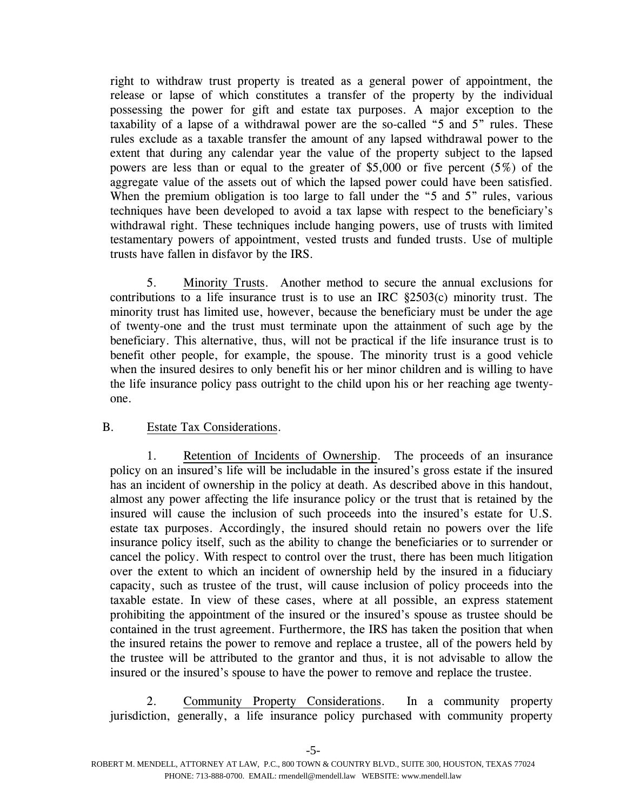right to withdraw trust property is treated as a general power of appointment, the release or lapse of which constitutes a transfer of the property by the individual possessing the power for gift and estate tax purposes. A major exception to the taxability of a lapse of a withdrawal power are the so-called "5 and 5" rules. These rules exclude as a taxable transfer the amount of any lapsed withdrawal power to the extent that during any calendar year the value of the property subject to the lapsed powers are less than or equal to the greater of \$5,000 or five percent (5%) of the aggregate value of the assets out of which the lapsed power could have been satisfied. When the premium obligation is too large to fall under the "5 and 5" rules, various techniques have been developed to avoid a tax lapse with respect to the beneficiary's withdrawal right. These techniques include hanging powers, use of trusts with limited testamentary powers of appointment, vested trusts and funded trusts. Use of multiple trusts have fallen in disfavor by the IRS.

5. Minority Trusts. Another method to secure the annual exclusions for contributions to a life insurance trust is to use an IRC §2503(c) minority trust. The minority trust has limited use, however, because the beneficiary must be under the age of twenty-one and the trust must terminate upon the attainment of such age by the beneficiary. This alternative, thus, will not be practical if the life insurance trust is to benefit other people, for example, the spouse. The minority trust is a good vehicle when the insured desires to only benefit his or her minor children and is willing to have the life insurance policy pass outright to the child upon his or her reaching age twentyone.

# B. Estate Tax Considerations.

1. Retention of Incidents of Ownership. The proceeds of an insurance policy on an insured's life will be includable in the insured's gross estate if the insured has an incident of ownership in the policy at death. As described above in this handout, almost any power affecting the life insurance policy or the trust that is retained by the insured will cause the inclusion of such proceeds into the insured's estate for U.S. estate tax purposes. Accordingly, the insured should retain no powers over the life insurance policy itself, such as the ability to change the beneficiaries or to surrender or cancel the policy. With respect to control over the trust, there has been much litigation over the extent to which an incident of ownership held by the insured in a fiduciary capacity, such as trustee of the trust, will cause inclusion of policy proceeds into the taxable estate. In view of these cases, where at all possible, an express statement prohibiting the appointment of the insured or the insured's spouse as trustee should be contained in the trust agreement. Furthermore, the IRS has taken the position that when the insured retains the power to remove and replace a trustee, all of the powers held by the trustee will be attributed to the grantor and thus, it is not advisable to allow the insured or the insured's spouse to have the power to remove and replace the trustee.

2. Community Property Considerations. In a community property jurisdiction, generally, a life insurance policy purchased with community property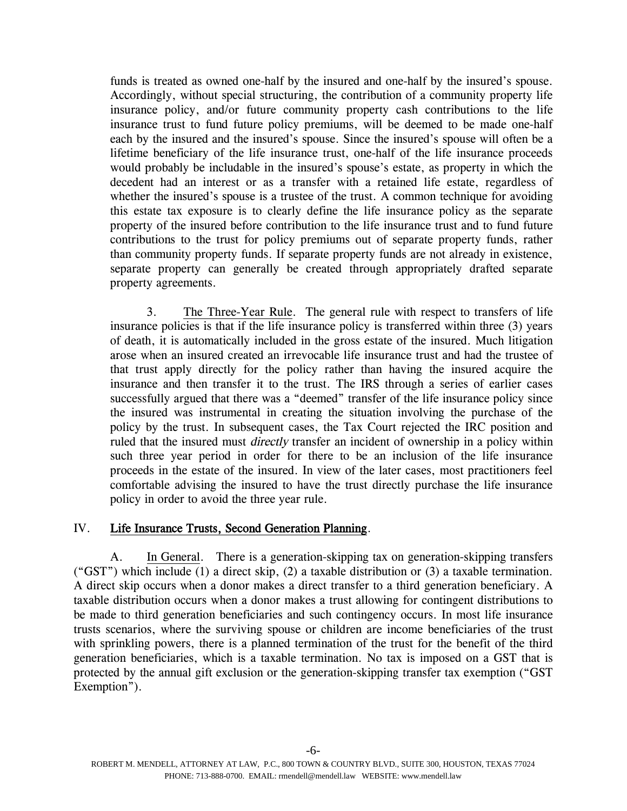funds is treated as owned one-half by the insured and one-half by the insured's spouse. Accordingly, without special structuring, the contribution of a community property life insurance policy, and/or future community property cash contributions to the life insurance trust to fund future policy premiums, will be deemed to be made one-half each by the insured and the insured's spouse. Since the insured's spouse will often be a lifetime beneficiary of the life insurance trust, one-half of the life insurance proceeds would probably be includable in the insured's spouse's estate, as property in which the decedent had an interest or as a transfer with a retained life estate, regardless of whether the insured's spouse is a trustee of the trust. A common technique for avoiding this estate tax exposure is to clearly define the life insurance policy as the separate property of the insured before contribution to the life insurance trust and to fund future contributions to the trust for policy premiums out of separate property funds, rather than community property funds. If separate property funds are not already in existence, separate property can generally be created through appropriately drafted separate property agreements.

3. The Three-Year Rule. The general rule with respect to transfers of life insurance policies is that if the life insurance policy is transferred within three (3) years of death, it is automatically included in the gross estate of the insured. Much litigation arose when an insured created an irrevocable life insurance trust and had the trustee of that trust apply directly for the policy rather than having the insured acquire the insurance and then transfer it to the trust. The IRS through a series of earlier cases successfully argued that there was a "deemed" transfer of the life insurance policy since the insured was instrumental in creating the situation involving the purchase of the policy by the trust. In subsequent cases, the Tax Court rejected the IRC position and ruled that the insured must *directly* transfer an incident of ownership in a policy within such three year period in order for there to be an inclusion of the life insurance proceeds in the estate of the insured. In view of the later cases, most practitioners feel comfortable advising the insured to have the trust directly purchase the life insurance policy in order to avoid the three year rule.

# IV. Life Insurance Trusts, Second Generation Planning.

A. In General. There is a generation-skipping tax on generation-skipping transfers ("GST") which include (1) a direct skip, (2) a taxable distribution or (3) a taxable termination. A direct skip occurs when a donor makes a direct transfer to a third generation beneficiary. A taxable distribution occurs when a donor makes a trust allowing for contingent distributions to be made to third generation beneficiaries and such contingency occurs. In most life insurance trusts scenarios, where the surviving spouse or children are income beneficiaries of the trust with sprinkling powers, there is a planned termination of the trust for the benefit of the third generation beneficiaries, which is a taxable termination. No tax is imposed on a GST that is protected by the annual gift exclusion or the generation-skipping transfer tax exemption ("GST Exemption").